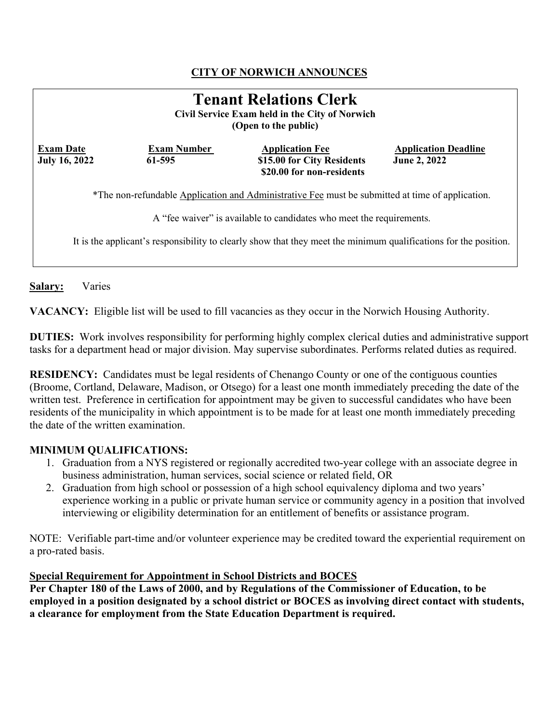# **CITY OF NORWICH ANNOUNCES**

| <b>Tenant Relations Clerk</b><br>Civil Service Exam held in the City of Norwich<br>(Open to the public) |                              |                                                                                                                                                                          |                                                    |
|---------------------------------------------------------------------------------------------------------|------------------------------|--------------------------------------------------------------------------------------------------------------------------------------------------------------------------|----------------------------------------------------|
| <b>Exam Date</b><br><b>July 16, 2022</b>                                                                | <b>Exam Number</b><br>61-595 | <b>Application Fee</b><br>\$15.00 for City Residents<br>\$20.00 for non-residents                                                                                        | <b>Application Deadline</b><br><b>June 2, 2022</b> |
|                                                                                                         |                              | *The non-refundable Application and Administrative Fee must be submitted at time of application.<br>A "fee waiver" is available to candidates who meet the requirements. |                                                    |
|                                                                                                         |                              | It is the applicant's responsibility to clearly show that they meet the minimum qualifications for the position.                                                         |                                                    |

**Salary:** Varies

**VACANCY:** Eligible list will be used to fill vacancies as they occur in the Norwich Housing Authority.

**DUTIES:** Work involves responsibility for performing highly complex clerical duties and administrative support tasks for a department head or major division. May supervise subordinates. Performs related duties as required.

**RESIDENCY:** Candidates must be legal residents of Chenango County or one of the contiguous counties (Broome, Cortland, Delaware, Madison, or Otsego) for a least one month immediately preceding the date of the written test. Preference in certification for appointment may be given to successful candidates who have been residents of the municipality in which appointment is to be made for at least one month immediately preceding the date of the written examination.

#### **MINIMUM QUALIFICATIONS:**

- 1. Graduation from a NYS registered or regionally accredited two-year college with an associate degree in business administration, human services, social science or related field, OR
- 2. Graduation from high school or possession of a high school equivalency diploma and two years' experience working in a public or private human service or community agency in a position that involved interviewing or eligibility determination for an entitlement of benefits or assistance program.

NOTE: Verifiable part-time and/or volunteer experience may be credited toward the experiential requirement on a pro-rated basis.

#### **Special Requirement for Appointment in School Districts and BOCES**

**Per Chapter 180 of the Laws of 2000, and by Regulations of the Commissioner of Education, to be employed in a position designated by a school district or BOCES as involving direct contact with students, a clearance for employment from the State Education Department is required.**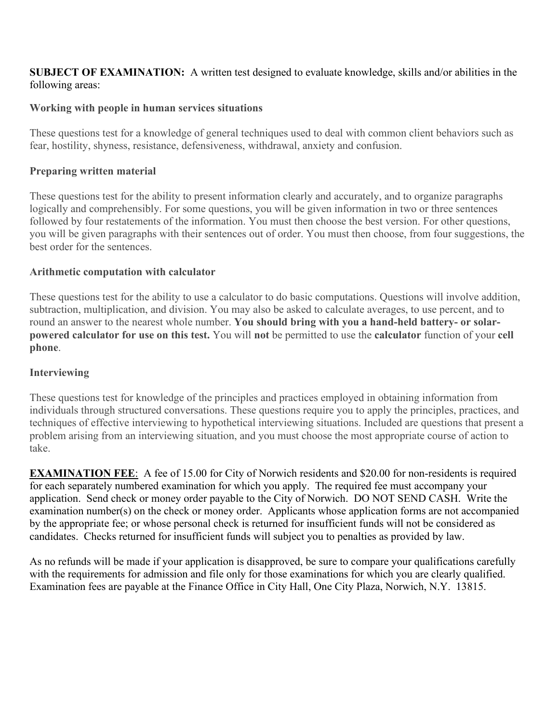#### **SUBJECT OF EXAMINATION:** A written test designed to evaluate knowledge, skills and/or abilities in the following areas:

### **Working with people in human services situations**

These questions test for a knowledge of general techniques used to deal with common client behaviors such as fear, hostility, shyness, resistance, defensiveness, withdrawal, anxiety and confusion.

### **Preparing written material**

These questions test for the ability to present information clearly and accurately, and to organize paragraphs logically and comprehensibly. For some questions, you will be given information in two or three sentences followed by four restatements of the information. You must then choose the best version. For other questions, you will be given paragraphs with their sentences out of order. You must then choose, from four suggestions, the best order for the sentences.

### **Arithmetic computation with calculator**

These questions test for the ability to use a calculator to do basic computations. Questions will involve addition, subtraction, multiplication, and division. You may also be asked to calculate averages, to use percent, and to round an answer to the nearest whole number. **You should bring with you a hand-held battery- or solarpowered calculator for use on this test.** You will **not** be permitted to use the **calculator** function of your **cell phone**.

### **Interviewing**

These questions test for knowledge of the principles and practices employed in obtaining information from individuals through structured conversations. These questions require you to apply the principles, practices, and techniques of effective interviewing to hypothetical interviewing situations. Included are questions that present a problem arising from an interviewing situation, and you must choose the most appropriate course of action to take.

**EXAMINATION FEE**: A fee of 15.00 for City of Norwich residents and \$20.00 for non-residents is required for each separately numbered examination for which you apply. The required fee must accompany your application. Send check or money order payable to the City of Norwich. DO NOT SEND CASH. Write the examination number(s) on the check or money order. Applicants whose application forms are not accompanied by the appropriate fee; or whose personal check is returned for insufficient funds will not be considered as candidates. Checks returned for insufficient funds will subject you to penalties as provided by law.

As no refunds will be made if your application is disapproved, be sure to compare your qualifications carefully with the requirements for admission and file only for those examinations for which you are clearly qualified. Examination fees are payable at the Finance Office in City Hall, One City Plaza, Norwich, N.Y. 13815.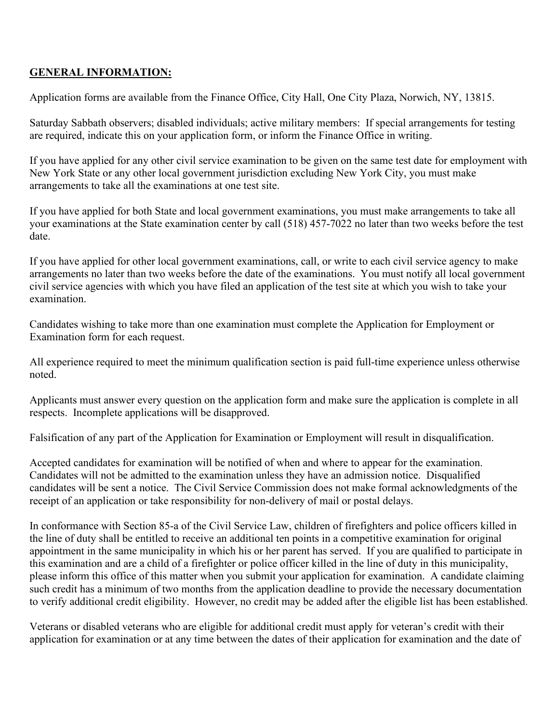## **GENERAL INFORMATION:**

Application forms are available from the Finance Office, City Hall, One City Plaza, Norwich, NY, 13815.

Saturday Sabbath observers; disabled individuals; active military members: If special arrangements for testing are required, indicate this on your application form, or inform the Finance Office in writing.

If you have applied for any other civil service examination to be given on the same test date for employment with New York State or any other local government jurisdiction excluding New York City, you must make arrangements to take all the examinations at one test site.

If you have applied for both State and local government examinations, you must make arrangements to take all your examinations at the State examination center by call (518) 457-7022 no later than two weeks before the test date.

If you have applied for other local government examinations, call, or write to each civil service agency to make arrangements no later than two weeks before the date of the examinations. You must notify all local government civil service agencies with which you have filed an application of the test site at which you wish to take your examination.

Candidates wishing to take more than one examination must complete the Application for Employment or Examination form for each request.

All experience required to meet the minimum qualification section is paid full-time experience unless otherwise noted.

Applicants must answer every question on the application form and make sure the application is complete in all respects. Incomplete applications will be disapproved.

Falsification of any part of the Application for Examination or Employment will result in disqualification.

Accepted candidates for examination will be notified of when and where to appear for the examination. Candidates will not be admitted to the examination unless they have an admission notice. Disqualified candidates will be sent a notice. The Civil Service Commission does not make formal acknowledgments of the receipt of an application or take responsibility for non-delivery of mail or postal delays.

In conformance with Section 85-a of the Civil Service Law, children of firefighters and police officers killed in the line of duty shall be entitled to receive an additional ten points in a competitive examination for original appointment in the same municipality in which his or her parent has served. If you are qualified to participate in this examination and are a child of a firefighter or police officer killed in the line of duty in this municipality, please inform this office of this matter when you submit your application for examination. A candidate claiming such credit has a minimum of two months from the application deadline to provide the necessary documentation to verify additional credit eligibility. However, no credit may be added after the eligible list has been established.

Veterans or disabled veterans who are eligible for additional credit must apply for veteran's credit with their application for examination or at any time between the dates of their application for examination and the date of